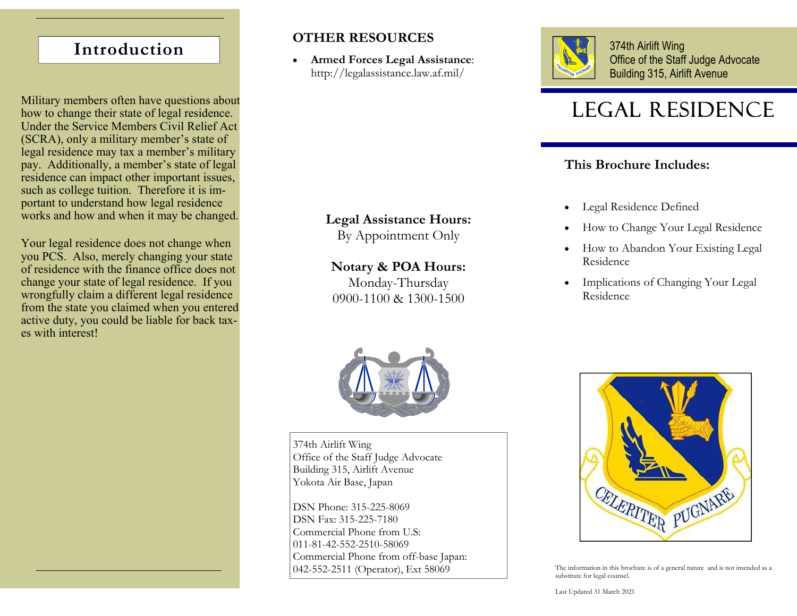# **Introduction**

Military members often have questions about  $\text{LEGAL}$  RESIDENCE how to change their state of legal residence. Under the Service Members Civil Relief Act (SCRA), only a military member's state of legal residence may tax a member's military pay. Additionally, a member's state of legal residence can impact other important issues, such as college tuition. Therefore it is important to understand how legal residence works and how and when it may be changed.

Your legal residence does not change when you PCS. Also, merely changing your state of residence with the finance office does not change your state of legal residence. If you wrongfully claim a different legal residence from the state you claimed when you entered active duty, you could be liable for back taxes with interest!

## **OTHER RESOURCES**

 $\bullet$  **Armed Forces Legal Assistance**: http://legalassistance.law.af.mil/

## **Legal Assistance Hours:**

By Appointment Only

## **Notary & POA Hours:**

Monday-Thursday 0900-1100 & 1300-1500



374th Airlift Wing Office of the Staff Judge Advocate Building 315, Airlift Avenue

## **This Brochure Includes:**

- $\bullet$ Legal Residence Defined
- $\bullet$ How to Change Your Legal Residence
- $\bullet$  How to Abandon Your Existing Legal Residence
- $\bullet$  Implications of Changing Your Legal Residence



374th Airlift Wing Office of the Staff Judge Advocate Building 315, Airlift Avenue Yokota Air Base, Japan

DSN Phone: 315-225-8069 DSN Fax: 315-225-7180 Commercial Phone from U.S: 011-81-42-552-2510-58069 Commercial Phone from off-base Japan: 042-552-2511 (Operator), Ext 58069



The information in this brochure is of a general nature and is not intended as a substitute for legal counsel.